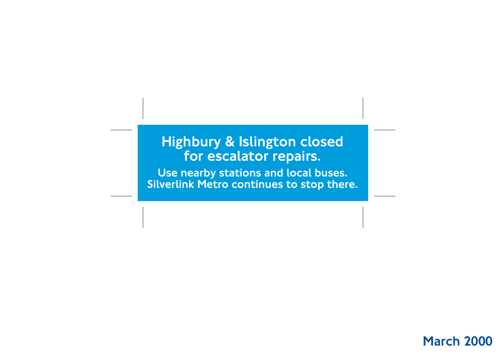# Highbury & Islington closed for escalator repairs.

Use nearby stations and local buses. Silverlink Metro continues to stop there.

#### March 2000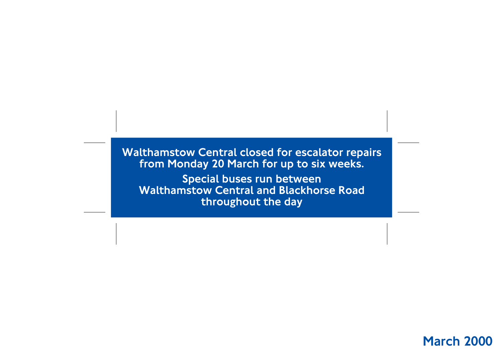Walthamstow Central closed for escalator repairs from Monday 20 March for up to six weeks.

Special buses run between Walthamstow Central and Blackhorse Road throughout the day

#### March 2000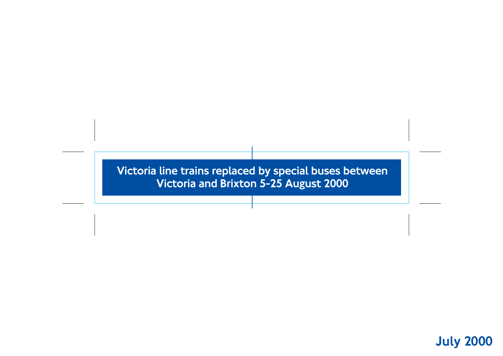Victoria line trains replaced by special buses between Victoria and Brixton 5-25 August 2000

# July 2000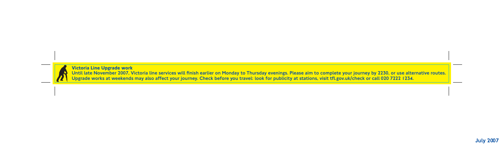



**Victoria Line Upgrade work**  Until late November 2007, Victoria line services will finish earlier on Monday to Thursday evenings. Please aim to complete your journey by 2230, or use alternative routes. Upgrade works at weekends may also affect your journey. Check before you travel: look for publicity at stations, visit tfl.gov.uk/check or call 020 7222 1234.

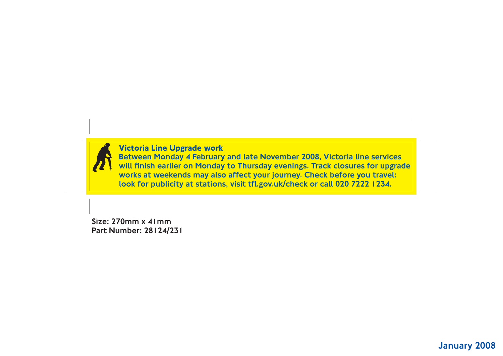

Size: 270mm x 41mm Part Number: 28124/231



#### **Victoria Line Upgrade work**

Between Monday 4 February and late November 2008, Victoria line services will finish earlier on Monday to Thursday evenings. Track closures for upgrade works at weekends may also affect your journey. Check before you travel: look for publicity at stations, visit tfl.gov.uk/check or call 020 7222 1234.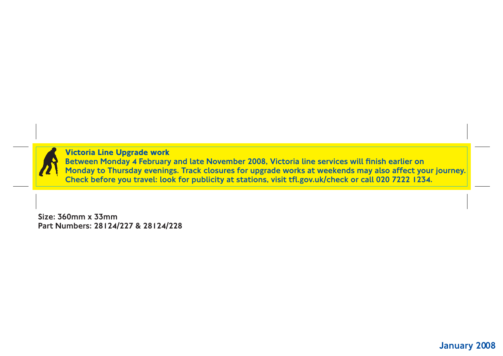#### January 2008

Size: 360mm x 33mm Part Numbers: 28124/227 & 28124/228

**Victoria Line Upgrade work**  Between Monday 4 February and late November 2008, Victoria line services will finish earlier on Monday to Thursday evenings. Track closures for upgrade works at weekends may also affect your journey. Check before you travel: look for publicity at stations, visit tfl.gov.uk/check or call 020 7222 1234.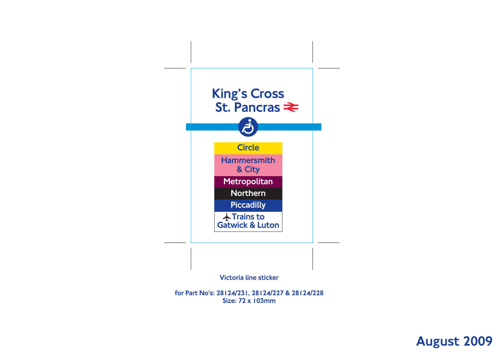

for Part No's: 28124/231, 28124/227 & 28124/228 Size: 72 x 103mm

# August 2009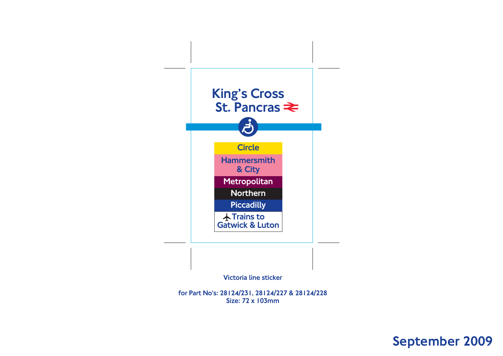

for Part No's: 28124/231, 28124/227 & 28124/228 Size: 72 x 103mm

### September 2009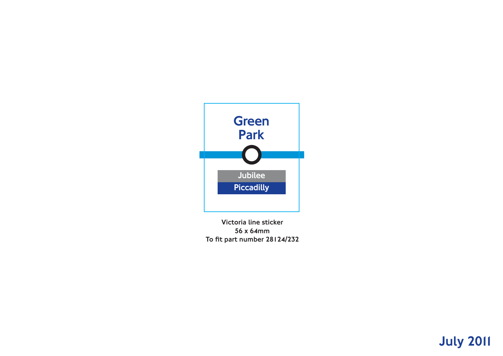

Victoria line sticker 56 x 64mm To fit part number 28124/232

# July 2011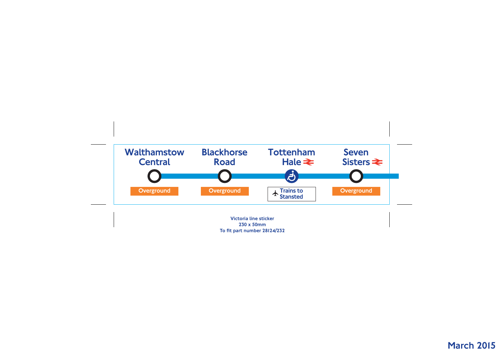Victoria line sticker 230 x 50mm To fit part number 28124/232

# **March 2015**

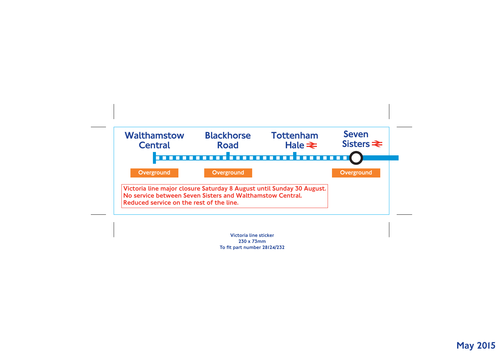

Victoria line sticker 230 x 73mm To fit part number 28124/232

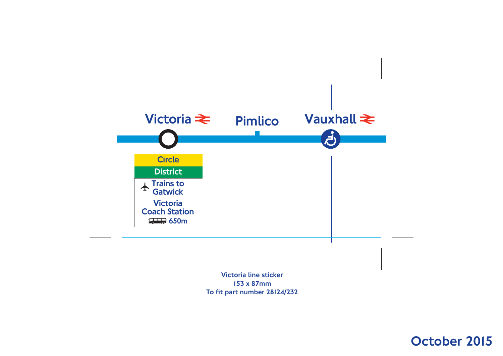

Victoria line sticker 153 x 87mm To fit part number 28124/232

### October 2015